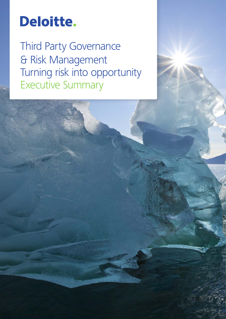# Deloitte.

Third Party Governance & Risk Management Turning risk into opportunity Executive Summary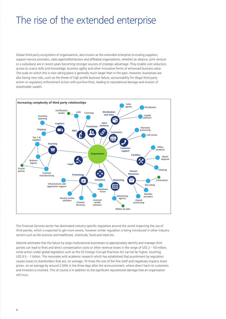# The rise of the extended enterprise

Global third party ecosystems of organisations, also known as the extended enterprise (including suppliers, support service providers, sales agents/distributors and affiliated organisations, whether an alliance, joint venture or a subsidiary) are in recent years becoming stronger sources of strategic advantage. They enable cost reduction, access to scarce skills and knowledge, business agility and other innovative forms of enhanced business value. The scale on which this is now taking place is generally much larger than in the past. However, businesses are also facing new risks, such as the threat of high profile business failure, accountability for illegal third party action or regulatory enforcement action with punitive fines, leading to reputational damage and erosion of shareholder wealth.



The Financial Services sector has dominated industry-specific regulation around the world impacting the use of third parties, which is expected to get more severe, however similar regulation is being introduced in other industry sectors such as life sciences and healthcare, chemicals, food and retail etc.

Deloitte estimates that the failure by large multinational businesses to appropriately identify and manage third parties can lead to fines and direct compensation costs or other revenue losses in the range of US\$ 2 – 50 million, while action under global legislation such as the US Foreign Corrupt Practices Act can be far higher, touching US\$ 0.5 – 1 billion. This resonates with academic research which has established that punishment by regulators causes losses to shareholders that are, on average, 10 times the size of the fine itself and negatively impacts share prices, on an average by around 2.55% in the three days after the announcement, where direct harm to customers and investors is involved. This of course is in addition to the significant reputational damage that an organisation will incur.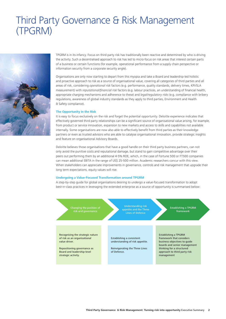## Third Party Governance & Risk Management (TPGRM)



TPGRM is in its infancy. Focus on third party risk has traditionally been reactive and determined by who is driving the activity. Such a decentralised approach to risk has led to micro-focus on risk areas that interest certain parts of a business or certain functions (for example, operational performance from a supply chain perspective or information security from a corporate security angle).

Organisations are only now starting to depart from this myopia and take a Board and leadership-led holistic and proactive approach to risk as a source of organisational value, covering all categories of third parties and all areas of risk, considering *operational risk* factors (e.g. performance, quality standards, delivery times, KPI/SLA measurement) with *reputational/financial risk* factors (e.g. labour practices, an understanding of financial health, appropriate charging mechanisms and adherence to these) and *legal/regulatory risks* (e.g. compliance with bribery regulations, awareness of global industry standards as they apply to third parties, Environment and Health & Safety compliance).

#### **The Opportunity in the Risk**

It is easy to focus exclusively on the risk and forget the potential opportunity. Deloitte experience indicates that effectively governed third party relationships can be a significant source of organisational value arising, for example, from product or service innovation, expansion to new markets and access to skills and capabilities not available internally. Some organisations are now also able to effectively benefit from third parties as their knowledge partners or even as trusted advisors who are able to catalyse organisational innovation, provide strategic insights and feature on organisational Advisory Boards.

Deloitte believes those organisations that have a good handle on their third party business partners, can not only avoid the punitive costs and reputational damage, but stand to gain competitive advantage over their peers out performing them by an additional 4-5% ROE, which, in the case of Fortune 500 or FT500 companies can mean additional EBITA in the range of US\$ 25-500 million. Academic researchers concur with this view. When stakeholders can appreciate improvements in governance, controls and risk management that upgrade their long term expectations, equity values will rise.

#### **Undergoing a Value-Focused Transformation around TPGRM**

A step-by-step guide for global organisations desiring to undergo a value-focused transformation to adopt best-in-class practices in leveraging the extended enterprise as a source of opportunity is summarised below:

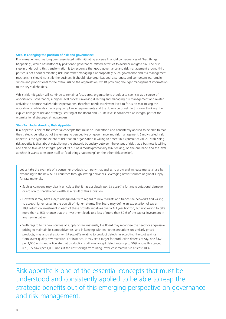#### **Step 1: Changing the position of risk and governance:**

Risk management has long been associated with mitigating adverse financial consequences of "bad things happening", which has historically positioned governance-related activities to avoid or mitigate risk. The first step in undergoing this transformation is to recognise that good governance and risk management around third parties is not about eliminating risk, but rather managing it appropriately. Such governance and risk management mechanisms should not stifle the business; it should raise organisational awareness and competencies, remain simple and proportional to the overall risk to the organisation, whilst providing the right management information to the key stakeholders.

Whilst risk mitigation will continue to remain a focus area, organisations should also see risks as a source of opportunity. Governance, a higher level process involving directing and managing risk management and related activities to address stakeholder expectations, therefore needs to reinvent itself to focus on maximising the opportunity, while also managing compliance requirements and the downside of risk. In this new thinking, the explicit linkage of risk and strategy, starting at the Board and C-suite level is considered an integral part of the organisational strategy-setting process.

#### **Step 2a: Understanding Risk Appetite**

Risk appetite is one of the essential concepts that must be understood and consistently applied to be able to reap the strategic benefits out of this emerging perspective on governance and risk management. Simply stated, risk appetite is the type and extent of risk that an organisation is willing to accept in its pursuit of value. Establishing risk appetite is thus about establishing the strategic boundary between the extent of risk that a business is willing and able to take as an integral part of its business model/profitability (risk seeking) on the one hand and the level at which it wants to expose itself to "bad things happening" on the other (risk aversion).

Let us take the example of a consumer products company that aspires to grow and increase market share by expanding to the new MINT countries through strategic alliances, leveraging newer sources of global supply for raw materials.

- Such as company may clearly articulate that it has absolutely *no risk appetite* for any reputational damage or erosion to shareholder wealth as a result of this aspiration.
- However it may have a *high risk appetite* with regard to new markets and franchisee networks and willing to accept higher losses in the pursuit of higher returns. The Board may define an expectation of say an 18% return on investment in each of these growth initiatives over a 1-3 year horizon, but not willing to take more than a 25% chance that the investment leads to a loss of more than 50% of the capital investment in any new initiative.
- With regard to its new sources of supply of raw materials, the Board may recognise the need for aggressive pricing to maintain its competitiveness, and in keeping with market expectations on similarly priced products, may also set a *higher risk appetite* relating to product defects in accepting the cost savings from lower-quality raw materials. For instance, it may set a target for production defects of say, one flaw per 1,000 units and articulate that production staff may accept defect rates up to 50% above this target (i.e., 1.5 flaws per 1,000 units) if the cost savings from using lower-cost materials is at least 10%.

Risk appetite is one of the essential concepts that must be understood and consistently applied to be able to reap the strategic benefits out of this emerging perspective on governance and risk management.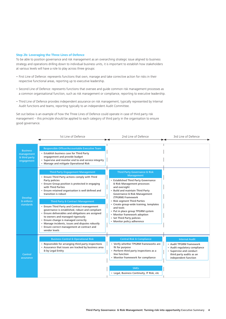#### **Step 2b: Leveraging the Three Lines of Defence**

To be able to position governance and risk management as an overarching strategic issue aligned to business strategy and operations drilling down to individual business units, it is important to establish how stakeholders at various levels will have a role to play across three groups:

- First Line of Defence: represents functions that own, manage and take corrective action for risks in their respective functional areas, reporting up to executive leadership.
- Second Line of Defence: represents functions that oversee and guide common risk management processes as a common organisational function, such as risk management or compliance, reporting to executive leadership.
- Third Line of Defence provides independent assurance on risk management, typically represented by Internal Audit functions and teams, reporting typically to an independent Audit Committee.

Set out below is an example of how the Three Lines of Defence could operate in case of third party risk management – this principle should be applied to each category of third party in the organisation to ensure good governance.

|                                                                                                          | 1st Line of Defence                                                                                                                                                                                                                                                                                                                                                                                                                                                                                                                                                                                                                                                                                                                                                                                                                                                                 | 2nd Line of Defence                                                                                                                                                                                                                                                                                                                                                                                                                                              | 3rd Line of Defence                                                                                                                                              |
|----------------------------------------------------------------------------------------------------------|-------------------------------------------------------------------------------------------------------------------------------------------------------------------------------------------------------------------------------------------------------------------------------------------------------------------------------------------------------------------------------------------------------------------------------------------------------------------------------------------------------------------------------------------------------------------------------------------------------------------------------------------------------------------------------------------------------------------------------------------------------------------------------------------------------------------------------------------------------------------------------------|------------------------------------------------------------------------------------------------------------------------------------------------------------------------------------------------------------------------------------------------------------------------------------------------------------------------------------------------------------------------------------------------------------------------------------------------------------------|------------------------------------------------------------------------------------------------------------------------------------------------------------------|
| <b>Business</b><br>management<br>& third party<br>engagement<br><b>Develop</b><br>& enforce<br>standards | Responsible Officer/Accountable Executive Team<br>• Establish business case for Third Party<br>engagement and provide budget<br>• Supervise and monitor end to end service integrity<br>• Manage and mitigate Operational Risk<br><b>Third Party Engagement Management</b><br>• Ensure Third Party actions comply with Third<br>Party policies<br>• Ensure Group position is protected in engaging<br>with Third Parties<br>• Ensure retained organisation is well defined and<br>transition is robust<br>Third Party & Contract Management<br>• Ensure Third Party and Contract management<br>governance is established, robust and compliant<br>• Ensure deliverables and obligations are assigned<br>to owners and managed rigorously<br>• Ensure change is managed correctly<br>• Manage incidents, issues and disputes robustly<br>• Ensure correct management at contract and | <b>Third Party Governance &amp; Risk</b><br>Management<br>• Established Third Party Governance<br>& Risk Management processes<br>and oversight<br>• Build and maintain Third Party<br>Governance & Risk Management<br>(TPGRM) Framework<br>• Risk segment Third Parties<br>• Create group-wide training, templates<br>and tools<br>• Put in place group TPGRM system<br>• Monitor framework adoption<br>• Set Third Party policies<br>• Monitor policy adherence |                                                                                                                                                                  |
| Control<br>assurance                                                                                     | vendor levels<br><b>Business Control &amp; Operational Risk</b><br>• Repsonsible for arranging third party inspections<br>• Assurance that issues are tracked by business area<br>& by Legal Entity                                                                                                                                                                                                                                                                                                                                                                                                                                                                                                                                                                                                                                                                                 | <b>Central Risk &amp; Compliance</b><br>• Verify whether TPGRM frameworks are<br>fit for purpose<br>Perform third party inspections as a<br>line function<br>• Monitor framework for compliance                                                                                                                                                                                                                                                                  | <b>Internal Audit</b><br>• Audit TPGRM framework<br>• Audit regulatory compliance<br>• Supervise and conduct<br>third party audits as an<br>independent function |
|                                                                                                          |                                                                                                                                                                                                                                                                                                                                                                                                                                                                                                                                                                                                                                                                                                                                                                                                                                                                                     | <b>SMEs</b><br>• Legal, Business Continuity, IT Risk, etc                                                                                                                                                                                                                                                                                                                                                                                                        |                                                                                                                                                                  |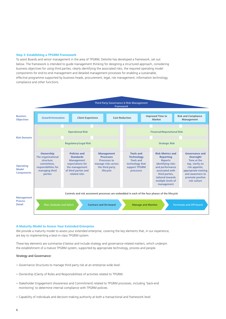#### **Step 3: Establishing a TPGRM Framework**

To assist Boards and senior management in the area of TPGRM, Deloitte has developed a framework, set out below. The framework is intended to guide management thinking for designing a structured approach, considering business objectives for using third parties, clearly identifying the associated risks, the required operating model components for end-to-end management and detailed management processes for enabling a sustainable, effective programme supported by business heads, procurement, legal, risk management, information technology, compliance and other functions.



#### **A Maturity Model to Assess Your Extended Enterprise**

We provide a maturity model to assess your extended enterprise, covering the key elements that, in our experience, are key to implementing a best-in-class TPGRM system.

These key elements are summarise d below and include strategy and governance-related matters, which underpin the establishment of a mature TPGRM system, supported by appropriate technology, process and people.

#### Strategy and Governance:

- Governance Structures to manage third party risk at an enterprise wide level.
- Ownership (Clarity of Roles and Responsibilities) of activities related to TPGRM.
- Stakeholder Engagement (Awareness and Commitment) related to TPGRM processes, including 'back-end monitoring' to determine internal compliance with TPGRM policies.
- Capability of individuals and decision-making authority at both a transactional and framework level.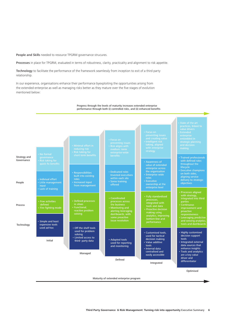People and Skills needed to resource TPGRM governance strucures.

Processes in place for TPGRM, evaluated in terms of robustness, clarity, practicality and alignment to risk appetite.

Technology to facilitate the performance of the framework seamlessly from inception to exit of a third party relationship.

In our experience, organisations enhance their performance byexploiting the opportunities arising from the extended enterprise as well as managing risks better as they mature over the five stages of evolution mentioned below:



Maturity of extended enterprise program